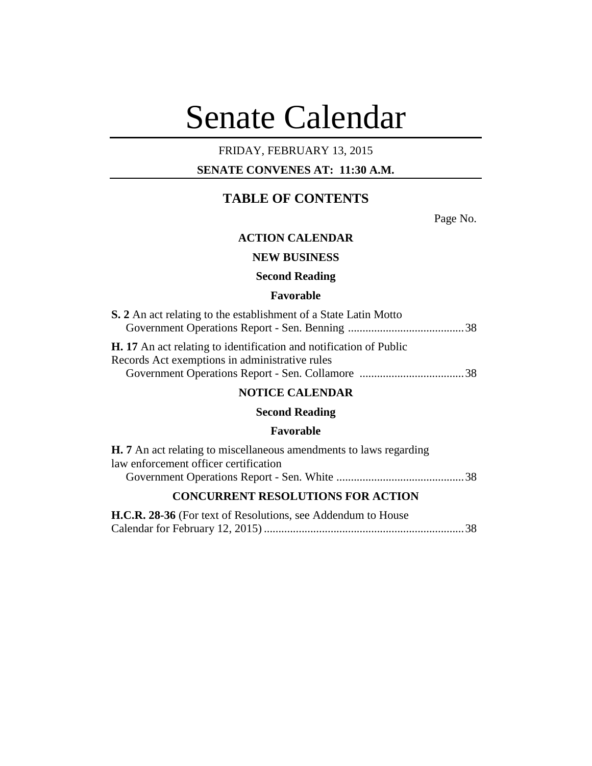# Senate Calendar

# FRIDAY, FEBRUARY 13, 2015

# **SENATE CONVENES AT: 11:30 A.M.**

# **TABLE OF CONTENTS**

Page No.

# **ACTION CALENDAR**

# **NEW BUSINESS**

## **Second Reading**

# **Favorable**

| S. 2 An act relating to the establishment of a State Latin Motto                                                            |  |
|-----------------------------------------------------------------------------------------------------------------------------|--|
|                                                                                                                             |  |
| <b>H.</b> 17 An act relating to identification and notification of Public<br>Records Act exemptions in administrative rules |  |
|                                                                                                                             |  |

# **NOTICE CALENDAR**

# **Second Reading**

# **Favorable**

| <b>H.</b> 7 An act relating to miscellaneous amendments to laws regarding |  |
|---------------------------------------------------------------------------|--|
| law enforcement officer certification                                     |  |
|                                                                           |  |
| <b>CONCURRENT RESOLUTIONS FOR ACTION</b>                                  |  |

| H.C.R. 28-36 (For text of Resolutions, see Addendum to House |  |  |
|--------------------------------------------------------------|--|--|
|                                                              |  |  |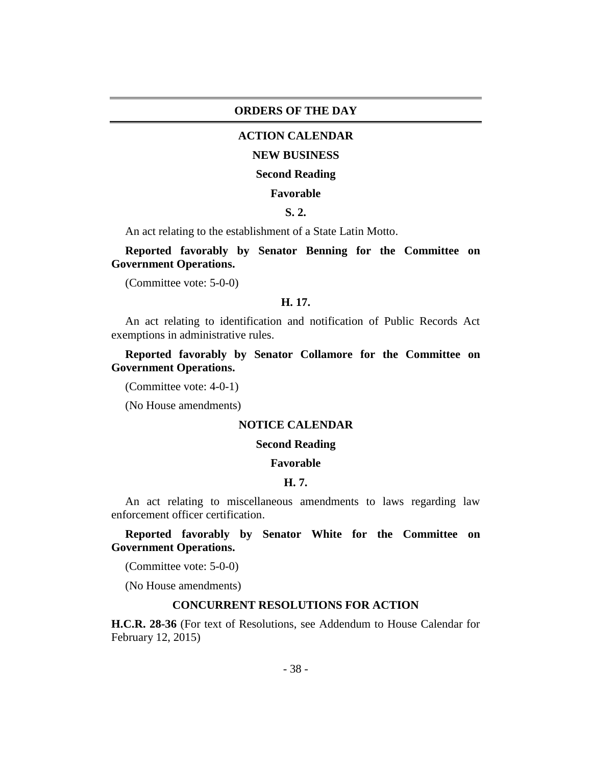#### **ORDERS OF THE DAY**

## **ACTION CALENDAR**

#### **NEW BUSINESS**

#### **Second Reading**

#### **Favorable**

## **S. 2.**

An act relating to the establishment of a State Latin Motto.

**Reported favorably by Senator Benning for the Committee on Government Operations.**

(Committee vote: 5-0-0)

#### **H. 17.**

An act relating to identification and notification of Public Records Act exemptions in administrative rules.

**Reported favorably by Senator Collamore for the Committee on Government Operations.**

(Committee vote: 4-0-1)

(No House amendments)

#### **NOTICE CALENDAR**

#### **Second Reading**

#### **Favorable**

#### **H. 7.**

An act relating to miscellaneous amendments to laws regarding law enforcement officer certification.

**Reported favorably by Senator White for the Committee on Government Operations.**

(Committee vote: 5-0-0)

(No House amendments)

#### **CONCURRENT RESOLUTIONS FOR ACTION**

**H.C.R. 28-36** (For text of Resolutions, see Addendum to House Calendar for February 12, 2015)